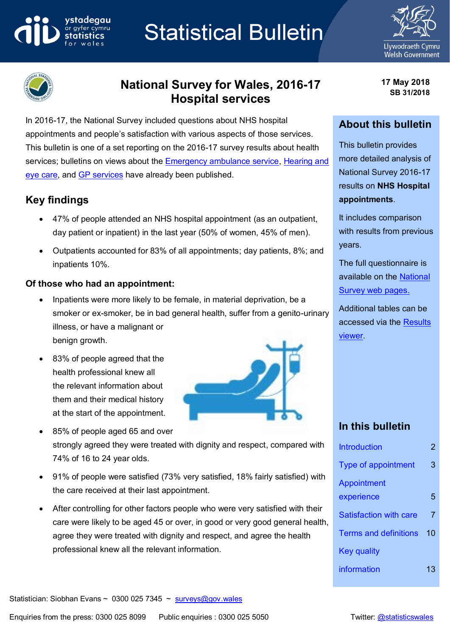# **Statistical Bulletin**





ystadegau

# **National Survey for Wales, 2016-17 Hospital services**

In 2016-17, the National Survey included questions about NHS hospital appointments and people's satisfaction with various aspects of those services. This bulletin is one of a set reporting on the 2016-17 survey results about health services; bulletins on views about the [Emergency ambulance service,](https://gov.wales/docs/statistics/2018/180220-national-survey-2016-17-emergency-ambulance-service-en.pdf) Hearing and [eye care,](http://gov.wales/docs/statistics/2018/180327-national-survey-2016-17-hearing-eye-care-en.pdf) and [GP services](http://gov.wales/docs/statistics/2018/180412-national-survey-2016-17-gp-services-en.pdf) have already been published.

# **Key findings**

- 47% of people attended an NHS hospital appointment (as an outpatient, day patient or inpatient) in the last year (50% of women, 45% of men).
- Outpatients accounted for 83% of all appointments; day patients, 8%; and inpatients 10%.

## **Of those who had an appointment:**

- Inpatients were more likely to be female, in material deprivation, be a smoker or ex-smoker, be in bad general health, suffer from a genito-urinary illness, or have a malignant or benign growth.
- 83% of people agreed that the health professional knew all the relevant information about them and their medical history at the start of the appointment.
- 85% of people aged 65 and over strongly agreed they were treated with dignity and respect, compared with 74% of 16 to 24 year olds.
- 91% of people were satisfied (73% very satisfied, 18% fairly satisfied) with the care received at their last appointment.
- After controlling for other factors people who were very satisfied with their care were likely to be aged 45 or over, in good or very good general health, agree they were treated with dignity and respect, and agree the health professional knew all the relevant information.



**17 May 2018 SB 31/2018**

## **About this bulletin**

This bulletin provides more detailed analysis of National Survey 2016-17 results on **NHS Hospital appointments**.

It includes comparison with results from previous years.

The full questionnaire is available on the [National](https://gov.wales/statistics-and-research/national-survey/?tab=current&lang=en)  [Survey web pages.](https://gov.wales/statistics-and-research/national-survey/?tab=current&lang=en)

Additional tables can be accessed via the [Results](https://gov.wales/docs/caecd/research/2018/national-survey-results-viewer-en.xlsb)  [viewer.](https://gov.wales/docs/caecd/research/2018/national-survey-results-viewer-en.xlsb)

# **In this bulletin**

| <b>Introduction</b>          | 2  |
|------------------------------|----|
| <b>Type of appointment</b>   | З  |
| Appointment                  |    |
| experience                   | 5  |
| Satisfaction with care       | 7  |
| <b>Terms and definitions</b> | 10 |
| Key quality                  |    |
| information                  | 13 |

Statistician: Siobhan Evans ~ 0300 025 7345 ~  $surveys@gov.wales$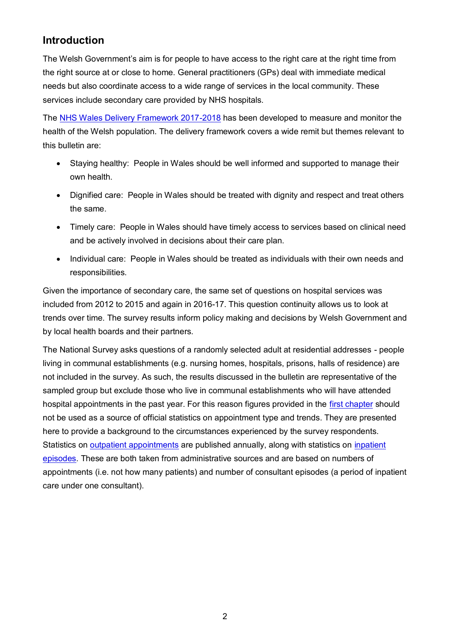# <span id="page-1-0"></span>**Introduction**

The Welsh Government's aim is for people to have access to the right care at the right time from the right source at or close to home. General practitioners (GPs) deal with immediate medical needs but also coordinate access to a wide range of services in the local community. These services include secondary care provided by NHS hospitals.

The [NHS Wales Delivery Framework 2017-2018](http://gov.wales/docs/dhss/publications/170613frameworken.pdf) has been developed to measure and monitor the health of the Welsh population. The delivery framework covers a wide remit but themes relevant to this bulletin are:

- Staying healthy: People in Wales should be well informed and supported to manage their own health.
- Dignified care: People in Wales should be treated with dignity and respect and treat others the same.
- Timely care: People in Wales should have timely access to services based on clinical need and be actively involved in decisions about their care plan.
- Individual care: People in Wales should be treated as individuals with their own needs and responsibilities.

Given the importance of secondary care, the same set of questions on hospital services was included from 2012 to 2015 and again in 2016-17. This question continuity allows us to look at trends over time. The survey results inform policy making and decisions by Welsh Government and by local health boards and their partners.

<span id="page-1-1"></span>The National Survey asks questions of a randomly selected adult at residential addresses - people living in communal establishments (e.g. nursing homes, hospitals, prisons, halls of residence) are not included in the survey. As such, the results discussed in the bulletin are representative of the sampled group but exclude those who live in communal establishments who will have attended hospital appointments in the past year. For this reason figures provided in the [first chapter](#page-1-1) should not be used as a source of official statistics on appointment type and trends. They are presented here to provide a background to the circumstances experienced by the survey respondents. Statistics on [outpatient appointments](https://gov.wales/statistics-and-research/outpatient-activity/?lang=en) are published annually, along with statistics on [inpatient](http://www.infoandstats.wales.nhs.uk/page.cfm?pid=41010&orgid=869)  [episodes.](http://www.infoandstats.wales.nhs.uk/page.cfm?pid=41010&orgid=869) These are both taken from administrative sources and are based on numbers of appointments (i.e. not how many patients) and number of consultant episodes (a period of inpatient care under one consultant).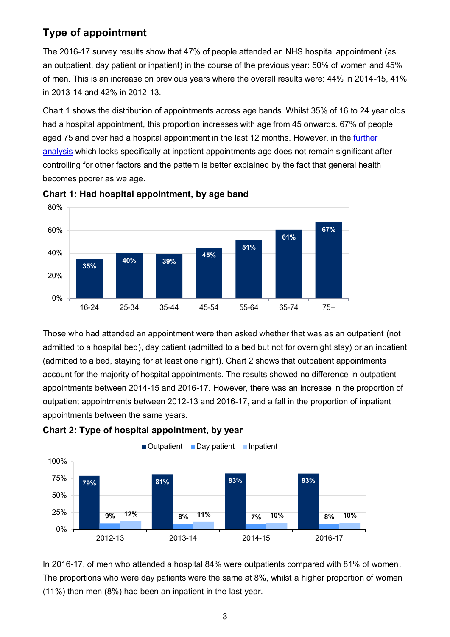# **Type of appointment**

The 2016-17 survey results show that 47% of people attended an NHS hospital appointment (as an outpatient, day patient or inpatient) in the course of the previous year: 50% of women and 45% of men. This is an increase on previous years where the overall results were: 44% in 2014-15, 41% in 2013-14 and 42% in 2012-13.

Chart 1 shows the distribution of appointments across age bands. Whilst 35% of 16 to 24 year olds had a hospital appointment, this proportion increases with age from 45 onwards. 67% of people aged 75 and over had a hospital appointment in the last 12 months. However, in the [further](#page-3-0)  [analysis](#page-3-0) which looks specifically at inpatient appointments age does not remain significant after controlling for other factors and the pattern is better explained by the fact that general health becomes poorer as we age.



**Chart 1: Had hospital appointment, by age band**

Those who had attended an appointment were then asked whether that was as an outpatient (not admitted to a hospital bed), day patient (admitted to a bed but not for overnight stay) or an inpatient (admitted to a bed, staying for at least one night). Chart 2 shows that outpatient appointments account for the majority of hospital appointments. The results showed no difference in outpatient appointments between 2014-15 and 2016-17. However, there was an increase in the proportion of outpatient appointments between 2012-13 and 2016-17, and a fall in the proportion of inpatient appointments between the same years.





In 2016-17, of men who attended a hospital 84% were outpatients compared with 81% of women. The proportions who were day patients were the same at 8%, whilst a higher proportion of women (11%) than men (8%) had been an inpatient in the last year.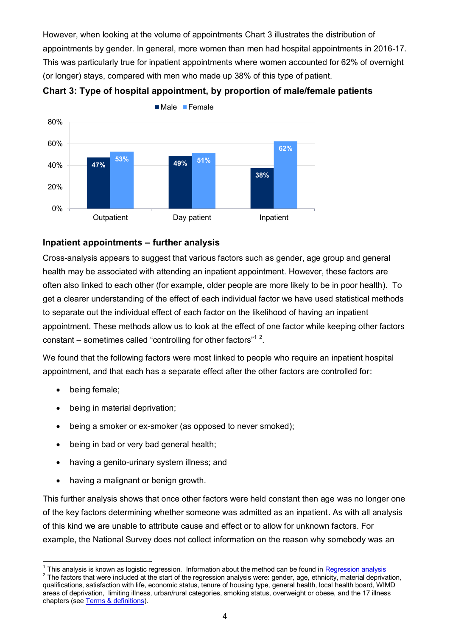However, when looking at the volume of appointments Chart 3 illustrates the distribution of appointments by gender. In general, more women than men had hospital appointments in 2016-17. This was particularly true for inpatient appointments where women accounted for 62% of overnight (or longer) stays, compared with men who made up 38% of this type of patient.





#### <span id="page-3-0"></span>**Inpatient appointments – further analysis**

Cross-analysis appears to suggest that various factors such as gender, age group and general health may be associated with attending an inpatient appointment. However, these factors are often also linked to each other (for example, older people are more likely to be in poor health). To get a clearer understanding of the effect of each individual factor we have used statistical methods to separate out the individual effect of each factor on the likelihood of having an inpatient appointment. These methods allow us to look at the effect of one factor while keeping other factors constant – sometimes called "controlling for other factors"<sup>12</sup>.

We found that the following factors were most linked to people who require an inpatient hospital appointment, and that each has a separate effect after the other factors are controlled for:

- being female;
- being in material deprivation;
- being a smoker or ex-smoker (as opposed to never smoked);
- being in bad or very bad general health:
- having a genito-urinary system illness; and
- having a malignant or benign growth.

This further analysis shows that once other factors were held constant then age was no longer one of the key factors determining whether someone was admitted as an inpatient. As with all analysis of this kind we are unable to attribute cause and effect or to allow for unknown factors. For example, the National Survey does not collect information on the reason why somebody was an

<sup>————————————————————&</sup>lt;br><sup>1</sup> This analysis is known as logistic regression. Information about the method can be found in <u>Regression analysis</u>

 $2$  The factors that were included at the start of the regression analysis were: gender, age, ethnicity, material deprivation, qualifications, satisfaction with life, economic status, tenure of housing type, general health, local health board, WIMD areas of deprivation, limiting illness, urban/rural categories, smoking status, overweight or obese, and the 17 illness chapters (se[e Terms & definitions\)](#page-9-0).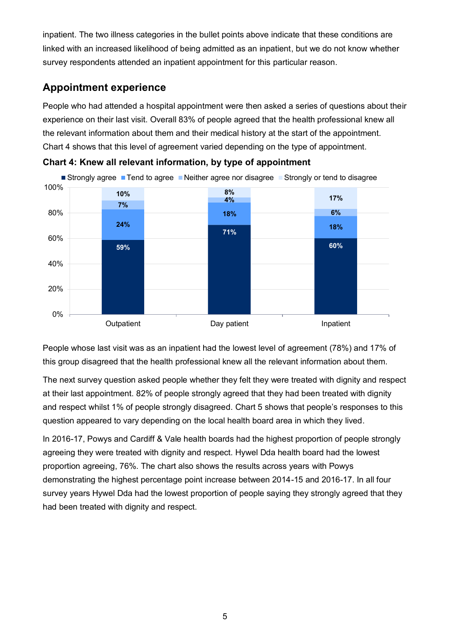inpatient. The two illness categories in the bullet points above indicate that these conditions are linked with an increased likelihood of being admitted as an inpatient, but we do not know whether survey respondents attended an inpatient appointment for this particular reason.

# <span id="page-4-0"></span>**Appointment experience**

People who had attended a hospital appointment were then asked a series of questions about their experience on their last visit. Overall 83% of people agreed that the health professional knew all the relevant information about them and their medical history at the start of the appointment. Chart 4 shows that this level of agreement varied depending on the type of appointment.





People whose last visit was as an inpatient had the lowest level of agreement (78%) and 17% of this group disagreed that the health professional knew all the relevant information about them.

The next survey question asked people whether they felt they were treated with dignity and respect at their last appointment. 82% of people strongly agreed that they had been treated with dignity and respect whilst 1% of people strongly disagreed. Chart 5 shows that people's responses to this question appeared to vary depending on the local health board area in which they lived.

In 2016-17, Powys and Cardiff & Vale health boards had the highest proportion of people strongly agreeing they were treated with dignity and respect. Hywel Dda health board had the lowest proportion agreeing, 76%. The chart also shows the results across years with Powys demonstrating the highest percentage point increase between 2014-15 and 2016-17. In all four survey years Hywel Dda had the lowest proportion of people saying they strongly agreed that they had been treated with dignity and respect.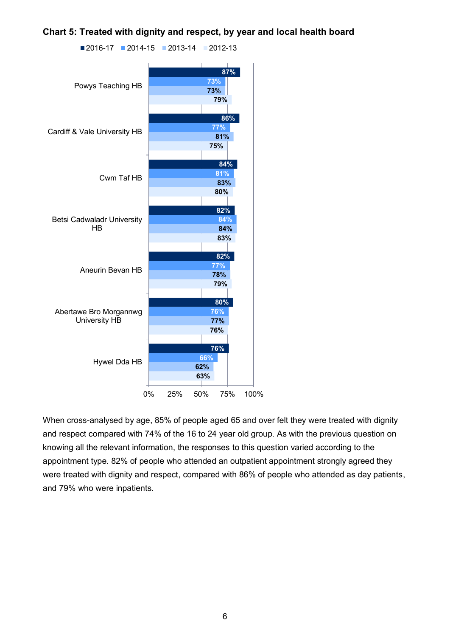**Chart 5: Treated with dignity and respect, by year and local health board**



When cross-analysed by age, 85% of people aged 65 and over felt they were treated with dignity and respect compared with 74% of the 16 to 24 year old group. As with the previous question on knowing all the relevant information, the responses to this question varied according to the appointment type. 82% of people who attended an outpatient appointment strongly agreed they were treated with dignity and respect, compared with 86% of people who attended as day patients, and 79% who were inpatients.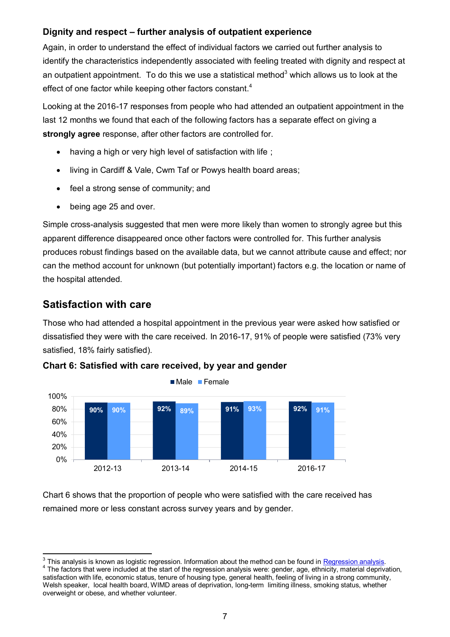#### **Dignity and respect – further analysis of outpatient experience**

Again, in order to understand the effect of individual factors we carried out further analysis to identify the characteristics independently associated with feeling treated with dignity and respect at an outpatient appointment. To do this we use a statistical method<sup>3</sup> which allows us to look at the effect of one factor while keeping other factors constant.<sup>4</sup>

Looking at the 2016-17 responses from people who had attended an outpatient appointment in the last 12 months we found that each of the following factors has a separate effect on giving a **strongly agree** response, after other factors are controlled for.

- having a high or very high level of satisfaction with life;
- living in Cardiff & Vale, Cwm Taf or Powys health board areas;
- feel a strong sense of community; and
- being age 25 and over.

Simple cross-analysis suggested that men were more likely than women to strongly agree but this apparent difference disappeared once other factors were controlled for. This further analysis produces robust findings based on the available data, but we cannot attribute cause and effect; nor can the method account for unknown (but potentially important) factors e.g. the location or name of the hospital attended.

## <span id="page-6-0"></span>**Satisfaction with care**

Those who had attended a hospital appointment in the previous year were asked how satisfied or dissatisfied they were with the care received. In 2016-17, 91% of people were satisfied (73% very satisfied, 18% fairly satisfied).



**Chart 6: Satisfied with care received, by year and gender**

Chart 6 shows that the proportion of people who were satisfied with the care received has remained more or less constant across survey years and by gender.

 $\overline{\phantom{a}}$  $3$  This analysis is known as logistic regression. Information about the method can be found i[n Regression analysis.](#page-14-0) <sup>4</sup> The factors that were included at the start of the regression analysis were: gender, age, ethnicity, material deprivation, satisfaction with life, economic status, tenure of housing type, general health, feeling of living in a strong community, Welsh speaker, local health board, WIMD areas of deprivation, long-term limiting illness, smoking status, whether overweight or obese, and whether volunteer.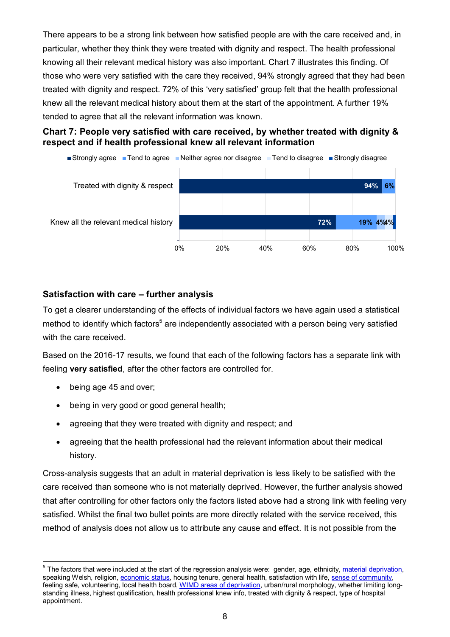There appears to be a strong link between how satisfied people are with the care received and, in particular, whether they think they were treated with dignity and respect. The health professional knowing all their relevant medical history was also important. Chart 7 illustrates this finding. Of those who were very satisfied with the care they received, 94% strongly agreed that they had been treated with dignity and respect. 72% of this 'very satisfied' group felt that the health professional knew all the relevant medical history about them at the start of the appointment. A further 19% tended to agree that all the relevant information was known.

#### **Chart 7: People very satisfied with care received, by whether treated with dignity & respect and if health professional knew all relevant information**



#### **Satisfaction with care – further analysis**

To get a clearer understanding of the effects of individual factors we have again used a statistical method to identify which factors<sup>5</sup> are independently associated with a person being very satisfied with the care received.

Based on the 2016-17 results, we found that each of the following factors has a separate link with feeling **very satisfied**, after the other factors are controlled for.

- being age 45 and over;
- being in very good or good general health;
- agreeing that they were treated with dignity and respect; and
- agreeing that the health professional had the relevant information about their medical history.

Cross-analysis suggests that an adult in material deprivation is less likely to be satisfied with the care received than someone who is not materially deprived. However, the further analysis showed that after controlling for other factors only the factors listed above had a strong link with feeling very satisfied. Whilst the final two bullet points are more directly related with the service received, this method of analysis does not allow us to attribute any cause and effect. It is not possible from the

 5 The factors that were included at the start of the regression analysis were: gender, age, ethnicity, material deprivation, speaking Welsh, religion, economic status, housing tenure, general health, satisfaction with life, sense of community, feeling safe, volunteering, local health board, [WIMD areas of deprivation,](#page-9-1) urban/rural morphology, whether limiting longstanding illness, highest qualification, health professional knew info, treated with dignity & respect, type of hospital appointment.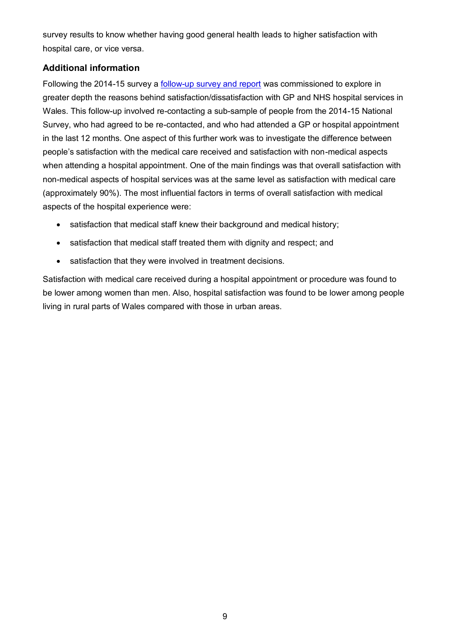survey results to know whether having good general health leads to higher satisfaction with hospital care, or vice versa.

## **Additional information**

Following the 2014-15 survey a **follow-up survey and report** was commissioned to explore in greater depth the reasons behind satisfaction/dissatisfaction with GP and NHS hospital services in Wales. This follow-up involved re-contacting a sub-sample of people from the 2014-15 National Survey, who had agreed to be re-contacted, and who had attended a GP or hospital appointment in the last 12 months. One aspect of this further work was to investigate the difference between people's satisfaction with the medical care received and satisfaction with non-medical aspects when attending a hospital appointment. One of the main findings was that overall satisfaction with non-medical aspects of hospital services was at the same level as satisfaction with medical care (approximately 90%). The most influential factors in terms of overall satisfaction with medical aspects of the hospital experience were:

- satisfaction that medical staff knew their background and medical history;
- satisfaction that medical staff treated them with dignity and respect; and
- satisfaction that they were involved in treatment decisions.

Satisfaction with medical care received during a hospital appointment or procedure was found to be lower among women than men. Also, hospital satisfaction was found to be lower among people living in rural parts of Wales compared with those in urban areas.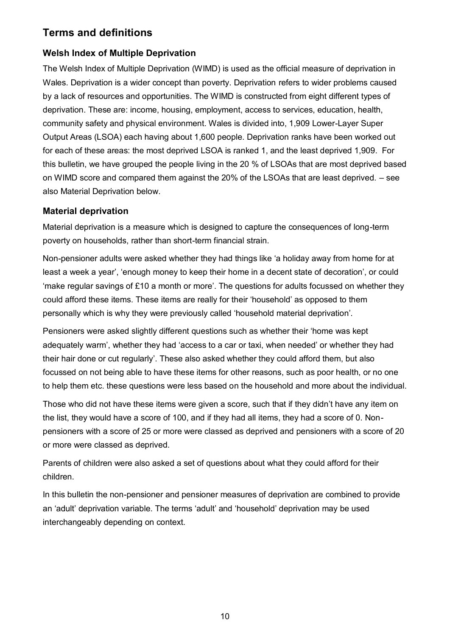# <span id="page-9-0"></span>**Terms and definitions**

# <span id="page-9-1"></span>**Welsh Index of Multiple Deprivation**

The Welsh Index of Multiple Deprivation (WIMD) is used as the official measure of deprivation in Wales. Deprivation is a wider concept than poverty. Deprivation refers to wider problems caused by a lack of resources and opportunities. The WIMD is constructed from eight different types of deprivation. These are: income, housing, employment, access to services, education, health, community safety and physical environment. Wales is divided into, 1,909 Lower-Layer Super Output Areas (LSOA) each having about 1,600 people. Deprivation ranks have been worked out for each of these areas: the most deprived LSOA is ranked 1, and the least deprived 1,909. For this bulletin, we have grouped the people living in the 20 % of LSOAs that are most deprived based on WIMD score and compared them against the 20% of the LSOAs that are least deprived. – see also Material Deprivation below.

## **Material deprivation**

Material deprivation is a measure which is designed to capture the consequences of long-term poverty on households, rather than short-term financial strain.

Non-pensioner adults were asked whether they had things like 'a holiday away from home for at least a week a year', 'enough money to keep their home in a decent state of decoration', or could 'make regular savings of £10 a month or more'. The questions for adults focussed on whether they could afford these items. These items are really for their 'household' as opposed to them personally which is why they were previously called 'household material deprivation'.

Pensioners were asked slightly different questions such as whether their 'home was kept adequately warm', whether they had 'access to a car or taxi, when needed' or whether they had their hair done or cut regularly'. These also asked whether they could afford them, but also focussed on not being able to have these items for other reasons, such as poor health, or no one to help them etc. these questions were less based on the household and more about the individual.

Those who did not have these items were given a score, such that if they didn't have any item on the list, they would have a score of 100, and if they had all items, they had a score of 0. Nonpensioners with a score of 25 or more were classed as deprived and pensioners with a score of 20 or more were classed as deprived.

Parents of children were also asked a set of questions about what they could afford for their children.

In this bulletin the non-pensioner and pensioner measures of deprivation are combined to provide an 'adult' deprivation variable. The terms 'adult' and 'household' deprivation may be used interchangeably depending on context.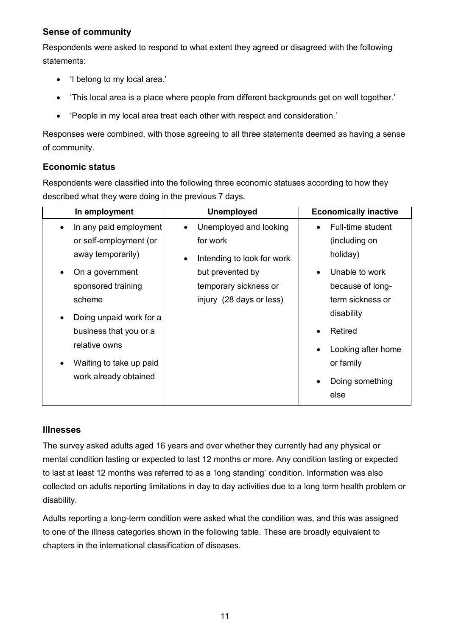## **Sense of community**

Respondents were asked to respond to what extent they agreed or disagreed with the following statements:

- 'I belong to my local area.'
- 'This local area is a place where people from different backgrounds get on well together.'
- 'People in my local area treat each other with respect and consideration.'

Responses were combined, with those agreeing to all three statements deemed as having a sense of community.

## **Economic status**

Respondents were classified into the following three economic statuses according to how they described what they were doing in the previous 7 days.

| In employment                                         | <b>Unemployed</b>                       | <b>Economically inactive</b>    |
|-------------------------------------------------------|-----------------------------------------|---------------------------------|
| In any paid employment                                | Unemployed and looking                  | Full-time student               |
| or self-employment (or                                | for work                                | (including on                   |
| away temporarily)                                     | Intending to look for work<br>$\bullet$ | holiday)                        |
| On a government                                       | but prevented by                        | Unable to work                  |
| sponsored training                                    | temporary sickness or                   | because of long-                |
| scheme                                                | injury (28 days or less)                | term sickness or                |
| Doing unpaid work for a                               |                                         | disability                      |
| business that you or a                                |                                         | Retired                         |
| relative owns<br>Waiting to take up paid<br>$\bullet$ |                                         | Looking after home<br>or family |
| work already obtained                                 |                                         |                                 |
|                                                       |                                         | Doing something<br>else         |

#### **Illnesses**

The survey asked adults aged 16 years and over whether they currently had any physical or mental condition lasting or expected to last 12 months or more. Any condition lasting or expected to last at least 12 months was referred to as a 'long standing' condition. Information was also collected on adults reporting limitations in day to day activities due to a long term health problem or disability.

Adults reporting a long-term condition were asked what the condition was, and this was assigned to one of the illness categories shown in the following table. These are broadly equivalent to chapters in the international classification of diseases.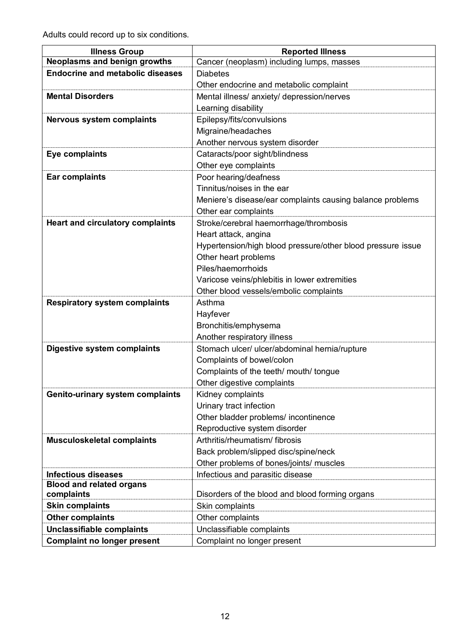Adults could record up to six conditions.

| <b>Illness Group</b>                                          | <b>Reported Illness</b>                                     |  |
|---------------------------------------------------------------|-------------------------------------------------------------|--|
| <b>Neoplasms and benign growths</b>                           | Cancer (neoplasm) including lumps, masses                   |  |
| <b>Endocrine and metabolic diseases</b>                       | <b>Diabetes</b>                                             |  |
|                                                               | Other endocrine and metabolic complaint                     |  |
| <b>Mental Disorders</b>                                       | Mental illness/ anxiety/ depression/nerves                  |  |
|                                                               | Learning disability                                         |  |
| <b>Nervous system complaints</b>                              | Epilepsy/fits/convulsions                                   |  |
|                                                               | Migraine/headaches                                          |  |
|                                                               | Another nervous system disorder                             |  |
| Eye complaints                                                | Cataracts/poor sight/blindness                              |  |
|                                                               | Other eye complaints                                        |  |
| <b>Ear complaints</b>                                         | Poor hearing/deafness                                       |  |
|                                                               | Tinnitus/noises in the ear                                  |  |
|                                                               | Meniere's disease/ear complaints causing balance problems   |  |
|                                                               | Other ear complaints                                        |  |
| <b>Heart and circulatory complaints</b>                       | Stroke/cerebral haemorrhage/thrombosis                      |  |
|                                                               | Heart attack, angina                                        |  |
|                                                               | Hypertension/high blood pressure/other blood pressure issue |  |
|                                                               | Other heart problems                                        |  |
|                                                               | Piles/haemorrhoids                                          |  |
|                                                               | Varicose veins/phlebitis in lower extremities               |  |
|                                                               | Other blood vessels/embolic complaints                      |  |
| <b>Respiratory system complaints</b>                          | Asthma                                                      |  |
|                                                               | Hayfever                                                    |  |
|                                                               | Bronchitis/emphysema                                        |  |
|                                                               | Another respiratory illness                                 |  |
| <b>Digestive system complaints</b>                            | Stomach ulcer/ ulcer/abdominal hernia/rupture               |  |
|                                                               | Complaints of bowel/colon                                   |  |
|                                                               | Complaints of the teeth/ mouth/ tongue                      |  |
|                                                               | Other digestive complaints                                  |  |
| <b>Genito-urinary system complaints</b>                       | Kidney complaints                                           |  |
|                                                               | Urinary tract infection                                     |  |
|                                                               | Other bladder problems/ incontinence                        |  |
|                                                               | Reproductive system disorder                                |  |
| <b>Musculoskeletal complaints</b>                             | Arthritis/rheumatism/ fibrosis                              |  |
|                                                               | Back problem/slipped disc/spine/neck                        |  |
|                                                               | Other problems of bones/joints/ muscles                     |  |
| <b>Infectious diseases</b><br><b>Blood and related organs</b> | Infectious and parasitic disease                            |  |
| complaints                                                    | Disorders of the blood and blood forming organs             |  |
| <b>Skin complaints</b>                                        | Skin complaints                                             |  |
| <b>Other complaints</b>                                       | Other complaints                                            |  |
| Unclassifiable complaints                                     | Unclassifiable complaints                                   |  |
| <b>Complaint no longer present</b>                            | Complaint no longer present                                 |  |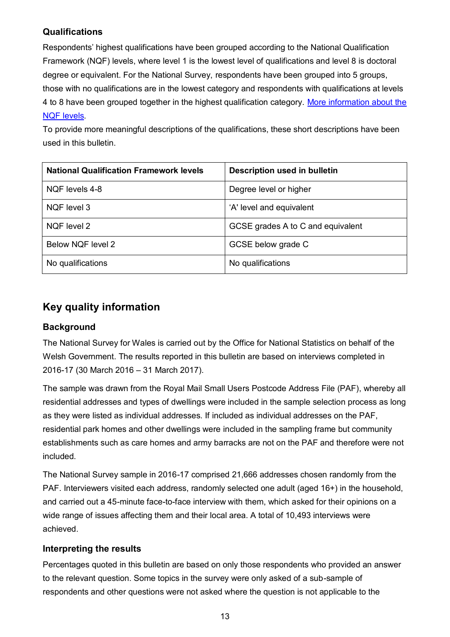## **Qualifications**

Respondents' highest qualifications have been grouped according to the National Qualification Framework (NQF) levels, where level 1 is the lowest level of qualifications and level 8 is doctoral degree or equivalent. For the National Survey, respondents have been grouped into 5 groups, those with no qualifications are in the lowest category and respondents with qualifications at levels 4 to 8 have been grouped together in the highest qualification category. [More information about the](http://gov.wales/docs/dcells/publications/110920qualificationsguideen.pdf)  [NQF levels](http://gov.wales/docs/dcells/publications/110920qualificationsguideen.pdf).

To provide more meaningful descriptions of the qualifications, these short descriptions have been used in this bulletin.

| <b>National Qualification Framework levels</b> | <b>Description used in bulletin</b> |
|------------------------------------------------|-------------------------------------|
| NQF levels 4-8                                 | Degree level or higher              |
| NQF level 3                                    | 'A' level and equivalent            |
| NQF level 2                                    | GCSE grades A to C and equivalent   |
| Below NQF level 2                              | GCSE below grade C                  |
| No qualifications                              | No qualifications                   |

# <span id="page-12-0"></span>**Key quality information**

## **Background**

The National Survey for Wales is carried out by the Office for National Statistics on behalf of the Welsh Government. The results reported in this bulletin are based on interviews completed in 2016-17 (30 March 2016 – 31 March 2017).

The sample was drawn from the Royal Mail Small Users Postcode Address File (PAF), whereby all residential addresses and types of dwellings were included in the sample selection process as long as they were listed as individual addresses. If included as individual addresses on the PAF, residential park homes and other dwellings were included in the sampling frame but community establishments such as care homes and army barracks are not on the PAF and therefore were not included.

The National Survey sample in 2016-17 comprised 21,666 addresses chosen randomly from the PAF. Interviewers visited each address, randomly selected one adult (aged 16+) in the household, and carried out a 45-minute face-to-face interview with them, which asked for their opinions on a wide range of issues affecting them and their local area. A total of 10,493 interviews were achieved.

#### **Interpreting the results**

Percentages quoted in this bulletin are based on only those respondents who provided an answer to the relevant question. Some topics in the survey were only asked of a sub-sample of respondents and other questions were not asked where the question is not applicable to the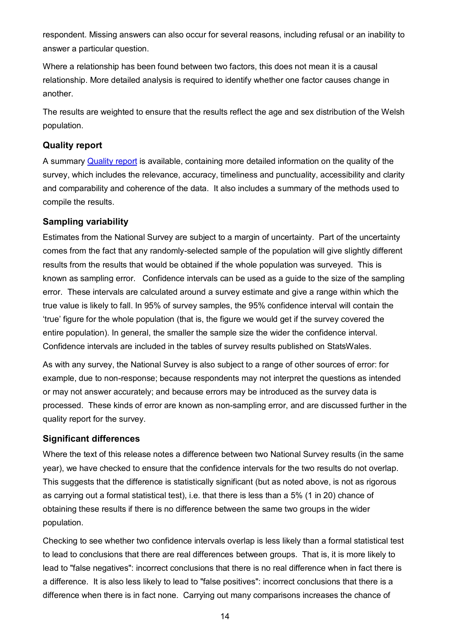respondent. Missing answers can also occur for several reasons, including refusal or an inability to answer a particular question.

Where a relationship has been found between two factors, this does not mean it is a causal relationship. More detailed analysis is required to identify whether one factor causes change in another.

The results are weighted to ensure that the results reflect the age and sex distribution of the Welsh population.

#### **Quality report**

A summary [Quality report](https://gov.wales/statistics-and-research/national-survey/design-methodology/technical-information/?lang=en) is available, containing more detailed information on the quality of the survey, which includes the relevance, accuracy, timeliness and punctuality, accessibility and clarity and comparability and coherence of the data. It also includes a summary of the methods used to compile the results.

#### **Sampling variability**

Estimates from the National Survey are subject to a margin of uncertainty. Part of the uncertainty comes from the fact that any randomly-selected sample of the population will give slightly different results from the results that would be obtained if the whole population was surveyed. This is known as sampling error. Confidence intervals can be used as a guide to the size of the sampling error. These intervals are calculated around a survey estimate and give a range within which the true value is likely to fall. In 95% of survey samples, the 95% confidence interval will contain the 'true' figure for the whole population (that is, the figure we would get if the survey covered the entire population). In general, the smaller the sample size the wider the confidence interval. Confidence intervals are included in the tables of survey results published on StatsWales.

As with any survey, the National Survey is also subject to a range of other sources of error: for example, due to non-response; because respondents may not interpret the questions as intended or may not answer accurately; and because errors may be introduced as the survey data is processed. These kinds of error are known as non-sampling error, and are discussed further in the quality report for the survey.

#### **Significant differences**

Where the text of this release notes a difference between two National Survey results (in the same year), we have checked to ensure that the confidence intervals for the two results do not overlap. This suggests that the difference is statistically significant (but as noted above, is not as rigorous as carrying out a formal statistical test), i.e. that there is less than a 5% (1 in 20) chance of obtaining these results if there is no difference between the same two groups in the wider population.

Checking to see whether two confidence intervals overlap is less likely than a formal statistical test to lead to conclusions that there are real differences between groups. That is, it is more likely to lead to "false negatives": incorrect conclusions that there is no real difference when in fact there is a difference. It is also less likely to lead to "false positives": incorrect conclusions that there is a difference when there is in fact none. Carrying out many comparisons increases the chance of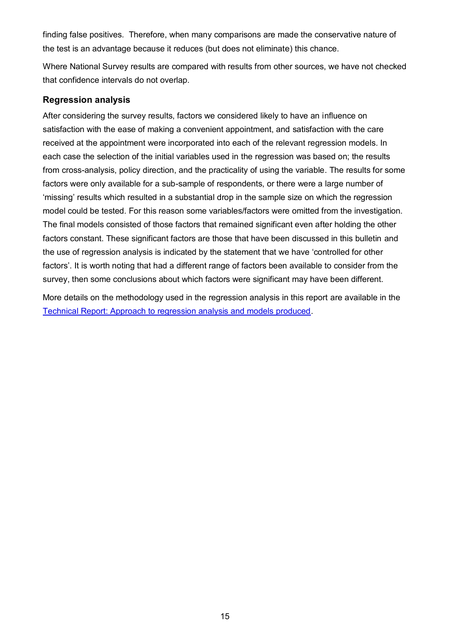finding false positives. Therefore, when many comparisons are made the conservative nature of the test is an advantage because it reduces (but does not eliminate) this chance.

Where National Survey results are compared with results from other sources, we have not checked that confidence intervals do not overlap.

#### <span id="page-14-0"></span>**Regression analysis**

After considering the survey results, factors we considered likely to have an influence on satisfaction with the ease of making a convenient appointment, and satisfaction with the care received at the appointment were incorporated into each of the relevant regression models. In each case the selection of the initial variables used in the regression was based on; the results from cross-analysis, policy direction, and the practicality of using the variable. The results for some factors were only available for a sub-sample of respondents, or there were a large number of 'missing' results which resulted in a substantial drop in the sample size on which the regression model could be tested. For this reason some variables/factors were omitted from the investigation. The final models consisted of those factors that remained significant even after holding the other factors constant. These significant factors are those that have been discussed in this bulletin and the use of regression analysis is indicated by the statement that we have 'controlled for other factors'. It is worth noting that had a different range of factors been available to consider from the survey, then some conclusions about which factors were significant may have been different.

More details on the methodology used in the regression analysis in this report are available in the [Technical Report: Approach to regression analysis and models produced.](http://gov.wales/docs/caecd/research/2017/170413-national-survey-technical-report-approach-regression-analysis-en.pdf)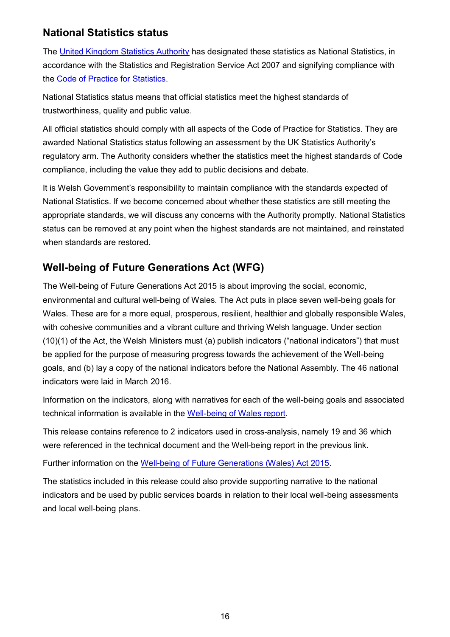## **National Statistics status**

The [United Kingdom Statistics Authority](https://www.statisticsauthority.gov.uk/) has designated these statistics as National Statistics, in accordance with the Statistics and Registration Service Act 2007 and signifying compliance with the [Code of Practice for Statistics.](https://www.statisticsauthority.gov.uk/code-of-practice/)

National Statistics status means that official statistics meet the highest standards of trustworthiness, quality and public value.

All official statistics should comply with all aspects of the Code of Practice for Statistics. They are awarded National Statistics status following an assessment by the UK Statistics Authority's regulatory arm. The Authority considers whether the statistics meet the highest standards of Code compliance, including the value they add to public decisions and debate.

It is Welsh Government's responsibility to maintain compliance with the standards expected of National Statistics. If we become concerned about whether these statistics are still meeting the appropriate standards, we will discuss any concerns with the Authority promptly. National Statistics status can be removed at any point when the highest standards are not maintained, and reinstated when standards are restored.

# **Well-being of Future Generations Act (WFG)**

The Well-being of Future Generations Act 2015 is about improving the social, economic, environmental and cultural well-being of Wales. The Act puts in place seven well-being goals for Wales. These are for a more equal, prosperous, resilient, healthier and globally responsible Wales, with cohesive communities and a vibrant culture and thriving Welsh language. Under section (10)(1) of the Act, the Welsh Ministers must (a) publish indicators ("national indicators") that must be applied for the purpose of measuring progress towards the achievement of the Well-being goals, and (b) lay a copy of the national indicators before the National Assembly. The 46 national indicators were laid in March 2016.

Information on the indicators, along with narratives for each of the well-being goals and associated technical information is available in the [Well-being of Wales report.](http://gov.wales/statistics-and-research/well-being-wales/?lang=en)

This release contains reference to 2 indicators used in cross-analysis, namely 19 and 36 which were referenced in the technical document and the Well-being report in the previous link.

Further information on the [Well-being of Future Generations \(Wales\) Act 2015.](http://gov.wales/topics/people-and-communities/people/future-generations-act)

The statistics included in this release could also provide supporting narrative to the national indicators and be used by public services boards in relation to their local well-being assessments and local well-being plans.